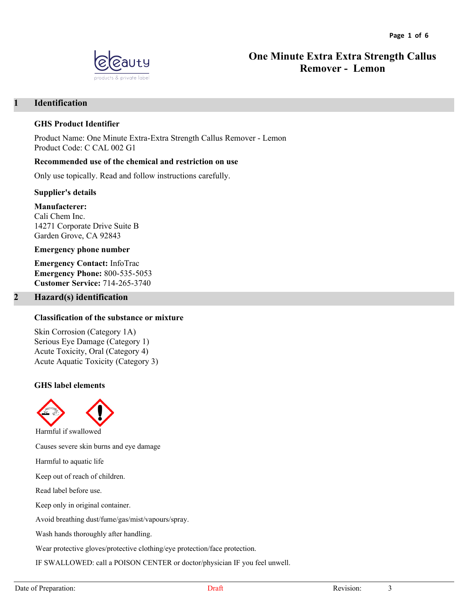

# **One Minute Extra Extra Strength Callus Remover - Lemon**

# **1 Identification**

#### **GHS Product Identifier**

Product Name: One Minute Extra-Extra Strength Callus Remover - Lemon Product Code: C CAL 002 G1

#### **Recommended use of the chemical and restriction on use**

Only use topically. Read and follow instructions carefully.

**Supplier's details**

#### **Manufacterer:**

Cali Chem Inc. 14271 Corporate Drive Suite B Garden Grove, CA 92843

#### **Emergency phone number**

**Emergency Contact:** InfoTrac **Emergency Phone:** 800-535-5053 **Customer Service:** 714-265-3740

### **2 Hazard(s) identification**

#### **Classification of the substance or mixture**

Skin Corrosion (Category 1A) Serious Eye Damage (Category 1) Acute Toxicity, Oral (Category 4) Acute Aquatic Toxicity (Category 3)

#### **GHS label elements**



Harmful if swallowed

Harmful to aquatic life

Keep out of reach of children.

Read label before use.

Keep only in original container.

Avoid breathing dust/fume/gas/mist/vapours/spray.

Wash hands thoroughly after handling.

Causes severe skin burns and eye damage

Wear protective gloves/protective clothing/eye protection/face protection.

IF SWALLOWED: call a POISON CENTER or doctor/physician IF you feel unwell.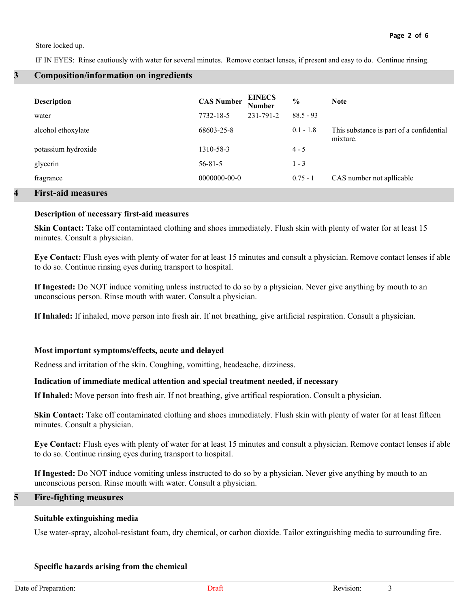Store locked up.

IF IN EYES: Rinse cautiously with water for several minutes. Remove contact lenses, if present and easy to do. Continue rinsing.

#### **3 Composition/information on ingredients**

| <b>Description</b><br>water | <b>CAS Number</b><br>7732-18-5 | <b>EINECS</b><br><b>Number</b><br>231-791-2 | $\frac{6}{6}$<br>$88.5 - 93$ | <b>Note</b>                                          |
|-----------------------------|--------------------------------|---------------------------------------------|------------------------------|------------------------------------------------------|
| alcohol ethoxylate          | 68603-25-8                     |                                             | $0.1 - 1.8$                  | This substance is part of a confidential<br>mixture. |
| potassium hydroxide         | 1310-58-3                      |                                             | $4 - 5$                      |                                                      |
| glycerin                    | $56 - 81 - 5$                  |                                             | $1 - 3$                      |                                                      |
| fragrance                   | $0000000 - 00 - 0$             |                                             | $0.75 - 1$                   | CAS number not apllicable                            |
|                             |                                |                                             |                              |                                                      |

#### **4 First-aid measures**

#### **Description of necessary first-aid measures**

**Skin Contact:** Take off contamintaed clothing and shoes immediately. Flush skin with plenty of water for at least 15 minutes. Consult a physician.

**Eye Contact:** Flush eyes with plenty of water for at least 15 minutes and consult a physician. Remove contact lenses if able to do so. Continue rinsing eyes during transport to hospital.

**If Ingested:** Do NOT induce vomiting unless instructed to do so by a physician. Never give anything by mouth to an unconscious person. Rinse mouth with water. Consult a physician.

**If Inhaled:** If inhaled, move person into fresh air. If not breathing, give artificial respiration. Consult a physician.

#### **Most important symptoms/effects, acute and delayed**

Redness and irritation of the skin. Coughing, vomitting, headeache, dizziness.

#### **Indication of immediate medical attention and special treatment needed, if necessary**

**If Inhaled:** Move person into fresh air. If not breathing, give artifical respioration. Consult a physician.

**Skin Contact:** Take off contaminated clothing and shoes immediately. Flush skin with plenty of water for at least fifteen minutes. Consult a physician.

**Eye Contact:** Flush eyes with plenty of water for at least 15 minutes and consult a physician. Remove contact lenses if able to do so. Continue rinsing eyes during transport to hospital.

**If Ingested:** Do NOT induce vomiting unless instructed to do so by a physician. Never give anything by mouth to an unconscious person. Rinse mouth with water. Consult a physician.

#### **5 Fire-fighting measures**

#### **Suitable extinguishing media**

Use water-spray, alcohol-resistant foam, dry chemical, or carbon dioxide. Tailor extinguishing media to surrounding fire.

#### **Specific hazards arising from the chemical**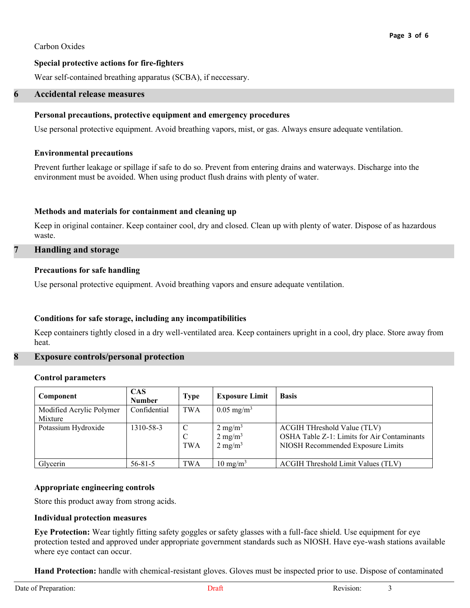#### Carbon Oxides

# **Special protective actions for fire-fighters**

Wear self-contained breathing apparatus (SCBA), if neccessary.

#### **6 Accidental release measures**

### **Personal precautions, protective equipment and emergency procedures**

Use personal protective equipment. Avoid breathing vapors, mist, or gas. Always ensure adequate ventilation.

### **Environmental precautions**

Prevent further leakage or spillage if safe to do so. Prevent from entering drains and waterways. Discharge into the environment must be avoided. When using product flush drains with plenty of water.

# **Methods and materials for containment and cleaning up**

Keep in original container. Keep container cool, dry and closed. Clean up with plenty of water. Dispose of as hazardous waste.

# **7 Handling and storage**

### **Precautions for safe handling**

Use personal protective equipment. Avoid breathing vapors and ensure adequate ventilation.

# **Conditions for safe storage, including any incompatibilities**

Keep containers tightly closed in a dry well-ventilated area. Keep containers upright in a cool, dry place. Store away from heat.

# **8 Exposure controls/personal protection**

#### **Control parameters**

| Component                           | <b>CAS</b><br><b>Number</b> | Type                              | <b>Exposure Limit</b>                                          | <b>Basis</b>                                                                                                    |
|-------------------------------------|-----------------------------|-----------------------------------|----------------------------------------------------------------|-----------------------------------------------------------------------------------------------------------------|
| Modified Acrylic Polymer<br>Mixture | Confidential                | TWA                               | $0.05 \text{ mg/m}^3$                                          |                                                                                                                 |
| Potassium Hydroxide                 | 1310-58-3                   | <sup>-</sup> C<br>C<br><b>TWA</b> | $2 \text{ mg/m}^3$<br>$2 \text{ mg/m}^3$<br>$2 \text{ mg/m}^3$ | ACGIH THreshold Value (TLV)<br>OSHA Table Z-1: Limits for Air Contaminants<br>NIOSH Recommended Exposure Limits |
| Glycerin                            | $56 - 81 - 5$               | <b>TWA</b>                        | $10 \text{ mg/m}^3$                                            | ACGIH Threshold Limit Values (TLV)                                                                              |

#### **Appropriate engineering controls**

Store this product away from strong acids.

#### **Individual protection measures**

**Eye Protection:** Wear tightly fitting safety goggles or safety glasses with a full-face shield. Use equipment for eye protection tested and approved under appropriate government standards such as NIOSH. Have eye-wash stations available where eye contact can occur.

**Hand Protection:** handle with chemical-resistant gloves. Gloves must be inspected prior to use. Dispose of contaminated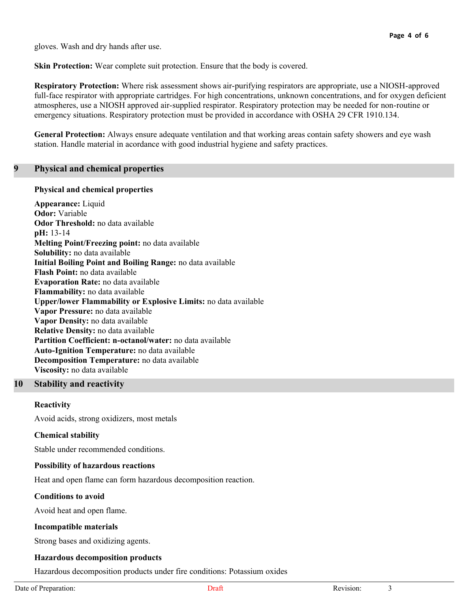gloves. Wash and dry hands after use.

**Skin Protection:** Wear complete suit protection. Ensure that the body is covered.

**Respiratory Protection:** Where risk assessment shows air-purifying respirators are appropriate, use a NIOSH-approved full-face respirator with appropriate cartridges. For high concentrations, unknown concentrations, and for oxygen deficient atmospheres, use a NIOSH approved air-supplied respirator. Respiratory protection may be needed for non-routine or emergency situations. Respiratory protection must be provided in accordance with OSHA 29 CFR 1910.134.

**General Protection:** Always ensure adequate ventilation and that working areas contain safety showers and eye wash station. Handle material in acordance with good industrial hygiene and safety practices.

### **9 Physical and chemical properties**

#### **Physical and chemical properties**

**Appearance:** Liquid **Odor:** Variable **Odor Threshold:** no data available **pH:** 13-14 **Melting Point/Freezing point:** no data available **Solubility:** no data available **Initial Boiling Point and Boiling Range:** no data available **Flash Point:** no data available **Evaporation Rate:** no data available **Flammability:** no data available **Upper/lower Flammability or Explosive Limits:** no data available **Vapor Pressure:** no data available **Vapor Density:** no data available **Relative Density:** no data available **Partition Coefficient: n-octanol/water:** no data available **Auto-Ignition Temperature:** no data available **Decomposition Temperature:** no data available **Viscosity:** no data available

# **10 Stability and reactivity**

#### **Reactivity**

Avoid acids, strong oxidizers, most metals

# **Chemical stability**

Stable under recommended conditions.

#### **Possibility of hazardous reactions**

Heat and open flame can form hazardous decomposition reaction.

#### **Conditions to avoid**

Avoid heat and open flame.

#### **Incompatible materials**

Strong bases and oxidizing agents.

#### **Hazardous decomposition products**

Hazardous decomposition products under fire conditions: Potassium oxides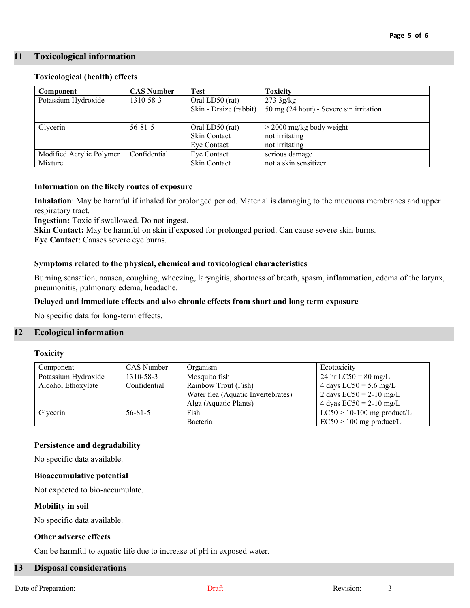### **11 Toxicological information**

#### **Toxicological (health) effects**

| Component                | <b>CAS Number</b> | <b>Test</b>            | <b>Toxicity</b>                         |  |
|--------------------------|-------------------|------------------------|-----------------------------------------|--|
| Potassium Hydroxide      | 1310-58-3         | Oral LD50 (rat)        | $273 \frac{3g}{kg}$                     |  |
|                          |                   | Skin - Draize (rabbit) | 50 mg (24 hour) - Severe sin irritation |  |
|                          |                   |                        |                                         |  |
| Glycerin                 | $56 - 81 - 5$     | Oral LD50 (rat)        | $>$ 2000 mg/kg body weight              |  |
|                          |                   | Skin Contact           | not irritating                          |  |
|                          |                   | Eve Contact            | not irritating                          |  |
| Modified Acrylic Polymer | Confidential      | Eye Contact            | serious damage                          |  |
| Mixture                  |                   | Skin Contact           | not a skin sensitizer                   |  |

### **Information on the likely routes of exposure**

**Inhalation**: May be harmful if inhaled for prolonged period. Material is damaging to the mucuous membranes and upper respiratory tract.

**Ingestion:** Toxic if swallowed. Do not ingest.

**Skin Contact:** May be harmful on skin if exposed for prolonged period. Can cause severe skin burns.

**Eye Contact**: Causes severe eye burns.

# **Symptoms related to the physical, chemical and toxicological characteristics**

Burning sensation, nausea, coughing, wheezing, laryngitis, shortness of breath, spasm, inflammation, edema of the larynx, pneumonitis, pulmonary edema, headache.

#### **Delayed and immediate effects and also chronic effects from short and long term exposure**

No specific data for long-term effects.

# **12 Ecological information**

#### **Toxicity**

| Component           | CAS Number    | Organism                           | Ecotoxicity                  |
|---------------------|---------------|------------------------------------|------------------------------|
| Potassium Hydroxide | 1310-58-3     | Mosquito fish                      | 24 hr $LC50 = 80$ mg/L       |
| Alcohol Ethoxylate  | Confidential  | Rainbow Trout (Fish)               | 4 days $LC50 = 5.6$ mg/L     |
|                     |               | Water flea (Aquatic Invertebrates) | 2 days $EC50 = 2-10$ mg/L    |
|                     |               | Alga (Aquatic Plants)              | 4 dyas $EC50 = 2-10$ mg/L    |
| Glycerin            | $56 - 81 - 5$ | Fish                               | $LC50 > 10-100$ mg product/L |
|                     |               | Bacteria                           | $EC50 > 100$ mg product/L    |

# **Persistence and degradability**

No specific data available.

#### **Bioaccumulative potential**

Not expected to bio-accumulate.

#### **Mobility in soil**

No specific data available.

#### **Other adverse effects**

Can be harmful to aquatic life due to increase of pH in exposed water.

#### **13 Disposal considerations**